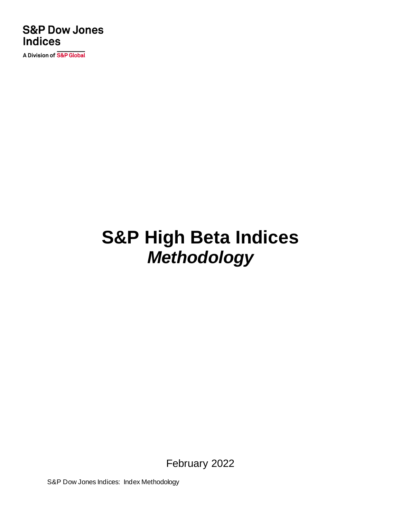**S&P Dow Jones Indices** 

A Division of S&P Global

# **S&P High Beta Indices** *Methodology*

February 2022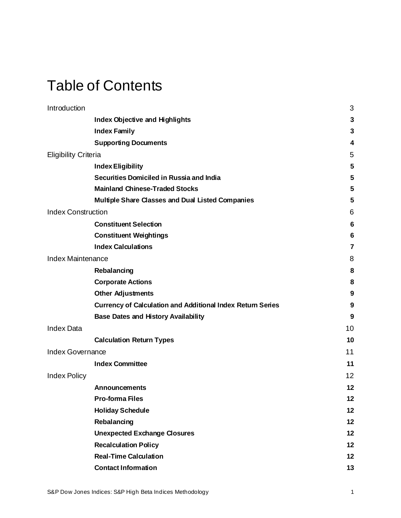# Table of Contents

| Introduction                |                                                                   | 3  |
|-----------------------------|-------------------------------------------------------------------|----|
|                             | <b>Index Objective and Highlights</b>                             | 3  |
|                             | <b>Index Family</b>                                               | 3  |
|                             | <b>Supporting Documents</b>                                       | 4  |
| <b>Eligibility Criteria</b> |                                                                   | 5  |
|                             | <b>Index Eligibility</b>                                          | 5  |
|                             | Securities Domiciled in Russia and India                          | 5  |
|                             | <b>Mainland Chinese-Traded Stocks</b>                             | 5  |
|                             | Multiple Share Classes and Dual Listed Companies                  | 5  |
| <b>Index Construction</b>   |                                                                   | 6  |
|                             | <b>Constituent Selection</b>                                      | 6  |
|                             | <b>Constituent Weightings</b>                                     | 6  |
|                             | <b>Index Calculations</b>                                         | 7  |
| <b>Index Maintenance</b>    |                                                                   | 8  |
|                             | Rebalancing                                                       | 8  |
|                             | <b>Corporate Actions</b>                                          | 8  |
|                             | <b>Other Adjustments</b>                                          | 9  |
|                             | <b>Currency of Calculation and Additional Index Return Series</b> | 9  |
|                             | <b>Base Dates and History Availability</b>                        | 9  |
| <b>Index Data</b>           |                                                                   | 10 |
|                             | <b>Calculation Return Types</b>                                   | 10 |
| Index Governance            |                                                                   | 11 |
|                             | <b>Index Committee</b>                                            | 11 |
| <b>Index Policy</b>         |                                                                   | 12 |
|                             | <b>Announcements</b>                                              | 12 |
|                             | <b>Pro-forma Files</b>                                            | 12 |
|                             | <b>Holiday Schedule</b>                                           | 12 |
|                             | Rebalancing                                                       | 12 |
|                             | <b>Unexpected Exchange Closures</b>                               | 12 |
|                             | <b>Recalculation Policy</b>                                       | 12 |
|                             | <b>Real-Time Calculation</b>                                      | 12 |
|                             | <b>Contact Information</b>                                        | 13 |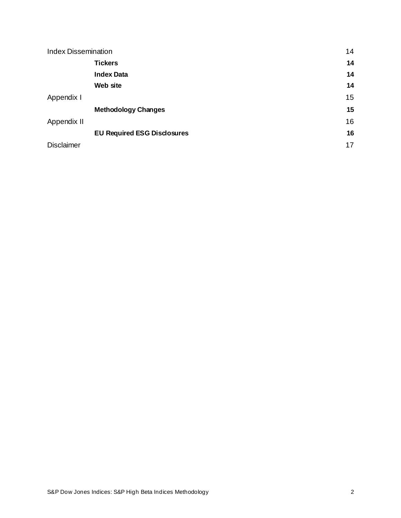| <b>Index Dissemination</b> |                                    | 14 |
|----------------------------|------------------------------------|----|
|                            | <b>Tickers</b>                     | 14 |
|                            | <b>Index Data</b>                  | 14 |
|                            | Web site                           | 14 |
| Appendix I                 |                                    | 15 |
|                            | <b>Methodology Changes</b>         | 15 |
| Appendix II                |                                    | 16 |
|                            | <b>EU Required ESG Disclosures</b> | 16 |
| <b>Disclaimer</b>          |                                    | 17 |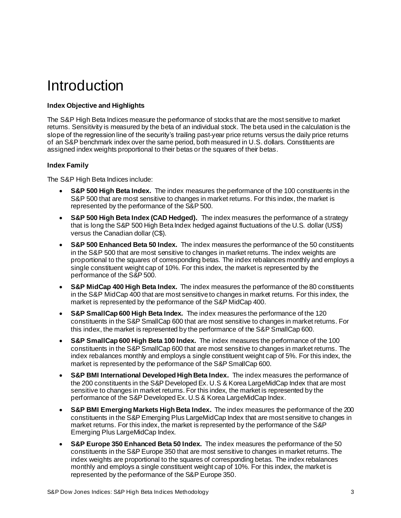### <span id="page-3-0"></span>Introduction

### <span id="page-3-1"></span>**Index Objective and Highlights**

The S&P High Beta Indices measure the performance of stocks that are the most sensitive to market returns. Sensitivity is measured by the beta of an individual stock. The beta used in the calculation is the slope of the regression line of the security's trailing past-year price returns versus the daily price returns of an S&P benchmark index over the same period, both measured in U.S. dollars. Constituents are assigned index weights proportional to their betas or the squares of their betas.

### <span id="page-3-2"></span>**Index Family**

The S&P High Beta Indices include:

- **S&P 500 High Beta Index.** The index measures the performance of the 100 constituents in the S&P 500 that are most sensitive to changes in market returns. For this index, the market is represented by the performance of the S&P 500.
- **S&P 500 High Beta Index (CAD Hedged).** The index measures the performance of a strategy that is long the S&P 500 High Beta Index hedged against fluctuations of the U.S. dollar (US\$) versus the Canadian dollar (C\$).
- **S&P 500 Enhanced Beta 50 Index.** The index measures the performance of the 50 constituents in the S&P 500 that are most sensitive to changes in market returns. The index weights are proportional to the squares of corresponding betas. The index rebalances monthly and employs a single constituent weight cap of 10%. For this index, the market is represented by the performance of the S&P 500.
- **S&P MidCap 400 High Beta Index.** The index measures the performance of the 80 constituents in the S&P MidCap 400 that are most sensitive to changes in market returns. For this index, the market is represented by the performance of the S&P MidCap 400.
- **S&P SmallCap 600 High Beta Index.** The index measures the performance of the 120 constituents in the S&P SmallCap 600 that are most sensitive to changes in market returns. For this index, the market is represented by the performance of the S&P SmallCap 600.
- **S&P SmallCap 600 High Beta 100 Index.** The index measures the performance of the 100 constituents in the S&P SmallCap 600 that are most sensitive to changes in market returns. The index rebalances monthly and employs a single constituent weight cap of 5%. For this index, the market is represented by the performance of the S&P SmallCap 600.
- **S&P BMI International Developed High Beta Index.** The index measures the performance of the 200 constituents in the S&P Developed Ex. U.S & Korea LargeMidCap Index that are most sensitive to changes in market returns. For this index, the market is represented by the performance of the S&P Developed Ex. U.S & Korea LargeMidCap Index.
- **S&P BMI Emerging Markets High Beta Index.** The index measures the performance of the 200 constituents in the S&P Emerging Plus LargeMidCap Index that are most sensitive to changes in market returns. For this index, the market is represented by the performance of the S&P Emerging Plus LargeMidCap Index.
- **S&P Europe 350 Enhanced Beta 50 Index.** The index measures the performance of the 50 constituents in the S&P Europe 350 that are most sensitive to changes in market returns. The index weights are proportional to the squares of corresponding betas. The index rebalances monthly and employs a single constituent weight cap of 10%. For this index, the market is represented by the performance of the S&P Europe 350.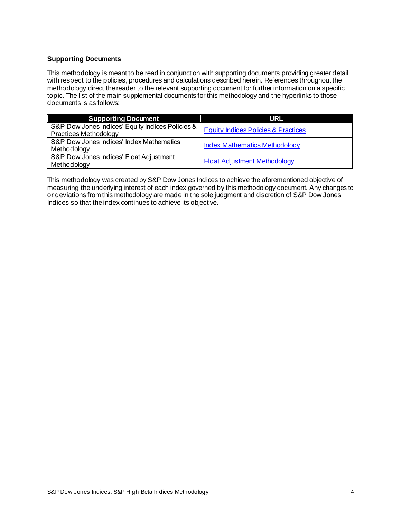### <span id="page-4-0"></span>**Supporting Documents**

This methodology is meant to be read in conjunction with supporting documents providing greater detail with respect to the policies, procedures and calculations described herein. References throughout the methodology direct the reader to the relevant supporting document for further information on a specific topic. The list of the main supplemental documents for this methodology and the hyperlinks to those documents is as follows:

| <b>Supporting Document</b>                                                         | <b>URL</b>                                     |
|------------------------------------------------------------------------------------|------------------------------------------------|
| S&P Dow Jones Indices' Equity Indices Policies &  <br><b>Practices Methodology</b> | <b>Equity Indices Policies &amp; Practices</b> |
| S&P Dow Jones Indices' Index Mathematics<br>Methodology                            | <b>Index Mathematics Methodology</b>           |
| S&P Dow Jones Indices' Float Adjustment<br>Methodology                             | <b>Float Adjustment Methodology</b>            |

This methodology was created by S&P Dow Jones Indices to achieve the aforementioned objective of measuring the underlying interest of each index governed by this methodology document. Any changes to or deviations from this methodology are made in the sole judgment and discretion of S&P Dow Jones Indices so that the index continues to achieve its objective.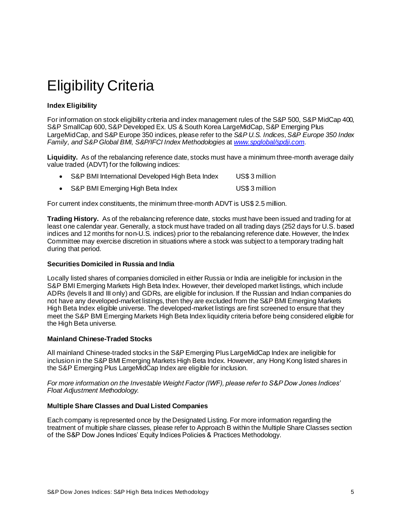# <span id="page-5-0"></span>Eligibility Criteria

### <span id="page-5-1"></span>**Index Eligibility**

For information on stock eligibility criteria and index management rules of the S&P 500, S&P MidCap 400, S&P SmallCap 600, S&P Developed Ex. US & South Korea LargeMidCap, S&P Emerging Plus LargeMidCap, and S&P Europe 350 indices, please refer to the *S&P U.S. Indices*, *S&P Europe 350 Index Family, and S&P Global BMI, S&P/IFCI Index Methodologies* at *[www.spglobal/spdji.com](http://www.spdji.com/)*.

**Liquidity.** As of the rebalancing reference date, stocks must have a minimum three-month average daily value traded (ADVT) for the following indices:

• S&P BMI Emerging High Beta Index US\$ 3 million

For current index constituents, the minimum three-month ADVT is US\$ 2.5 million.

**Trading History.** As of the rebalancing reference date, stocks must have been issued and trading for at least one calendar year. Generally, a stock must have traded on all trading days (252 days for U.S. based indices and 12 months for non-U.S. indices) prior to the rebalancing reference date. However, the Index Committee may exercise discretion in situations where a stock was subject to a temporary trading halt during that period.

### <span id="page-5-2"></span>**Securities Domiciled in Russia and India**

Locally listed shares of companies domiciled in either Russia or India are ineligible for inclusion in the S&P BMI Emerging Markets High Beta Index. However, their developed market listings, which include ADRs (levels II and III only) and GDRs, are eligible for inclusion. If the Russian and Indian companies do not have any developed-market listings, then they are excluded from the S&P BMI Emerging Markets High Beta Index eligible universe. The developed-market listings are first screened to ensure that they meet the S&P BMI Emerging Markets High Beta Index liquidity criteria before being considered eligible for the High Beta universe.

#### <span id="page-5-3"></span>**Mainland Chinese-Traded Stocks**

All mainland Chinese-traded stocks in the S&P Emerging Plus LargeMidCap Index are ineligible for inclusion in the S&P BMI Emerging Markets High Beta Index. However, any Hong Kong listed shares in the S&P Emerging Plus LargeMidCap Index are eligible for inclusion.

*For more information on the Investable Weight Factor (IWF), please refer to S&P Dow Jones Indices' Float Adjustment Methodology.*

### <span id="page-5-4"></span>**Multiple Share Classes and Dual Listed Companies**

Each company is represented once by the Designated Listing. For more information regarding the treatment of multiple share classes, please refer to Approach B within the Multiple Share Classes section of the S&P Dow Jones Indices' Equity Indices Policies & Practices Methodology.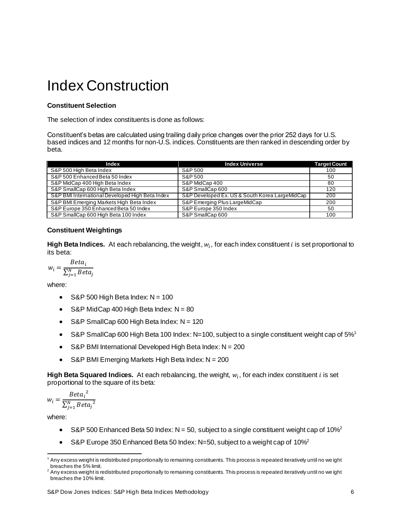# <span id="page-6-0"></span>Index Construction

### <span id="page-6-1"></span>**Constituent Selection**

The selection of index constituents is done as follows:

Constituent's betas are calculated using trailing daily price changes over the prior 252 days for U.S. based indices and 12 months for non-U.S. indices. Constituents are then ranked in descending order by beta.

| Index                                           | <b>Index Universe</b>                          | <b>Target Count</b> |
|-------------------------------------------------|------------------------------------------------|---------------------|
| S&P 500 High Beta Index                         | S&P 500                                        | 100                 |
| S&P 500 Enhanced Beta 50 Index                  | S&P 500                                        | 50                  |
| S&P MidCap 400 High Beta Index                  | S&P MidCap 400                                 | 80                  |
| S&P SmallCap 600 High Beta Index                | S&P SmallCap 600                               | 120                 |
| S&P BMI International Developed High Beta Index | S&P Developed Ex. US & South Korea LargeMidCap | 200                 |
| S&P BMI Emerging Markets High Beta Index        | S&P Emerging Plus LargeMidCap                  | 200                 |
| S&P Europe 350 Enhanced Beta 50 Index           | S&P Europe 350 Index                           | 50                  |
| S&P SmallCap 600 High Beta 100 Index            | S&P SmallCap 600                               | 100                 |

#### <span id="page-6-2"></span>**Constituent Weightings**

**High Beta Indices.** At each rebalancing, the weight,  $w_i$ , for each index constituent  $i$  is set proportional to its beta:

$$
w_i = \frac{Beta_i}{\sum_{j=1}^{N} Beta_j}
$$

where:

- S&P 500 High Beta Index:  $N = 100$
- S&P MidCap 400 High Beta Index:  $N = 80$
- S&P SmallCap 600 High Beta Index: N = 120
- S&P SmallCap 600 High Beta 100 Index:  $N=100$ , subject to a single constituent weight cap of 5%<sup>1</sup>
- S&P BMI International Developed High Beta Index: N = 200
- S&P BMI Emerging Markets High Beta Index: N = 200

**High Beta Squared Indices.** At each rebalancing, the weight,  $w_i$ , for each index constituent  $i$  is set proportional to the square of its beta:

$$
w_i = \frac{Beta_i^2}{\sum_{j=1}^{N} Beta_j^2}
$$

where:

- S&P 500 Enhanced Beta 50 Index:  $N = 50$ , subject to a single constituent weight cap of 10%<sup>2</sup>
- S&P Europe 350 Enhanced Beta 50 Index: N=50, subject to a weight cap of 10%<sup>2</sup>

 $^{\rm 1}$  Any excess weight is redistributed proportionally to remaining constituents. This process is repeated iteratively until no we ight breaches the 5% limit.

<sup>&</sup>lt;sup>2</sup> Any excess weight is redistributed proportionally to remaining constituents. This process is repeated iteratively until no we ight breaches the 10% limit.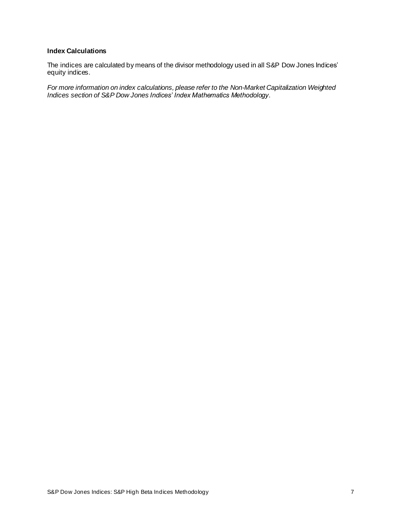### <span id="page-7-0"></span>**Index Calculations**

The indices are calculated by means of the divisor methodology used in all S&P Dow Jones Indices' equity indices.

*For more information on index calculations, please refer to the Non-Market Capitalization Weighted Indices section of S&P Dow Jones Indices' Index Mathematics Methodology.*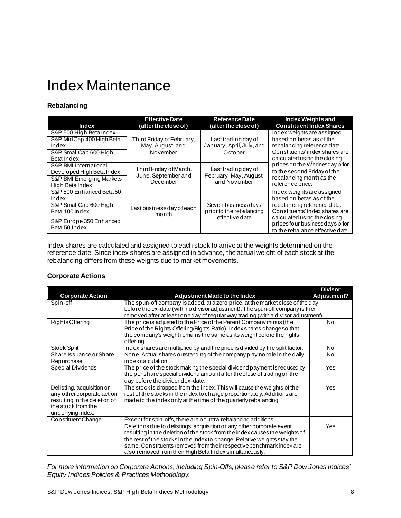# <span id="page-8-0"></span>Index Maintenance

### <span id="page-8-1"></span>**Rebalancing**

| <b>Index</b>                                                                                        | <b>Effective Date</b><br>(after the close of)             | <b>Reference Date</b><br>(after the close of)                     | <b>Index Weights and</b><br><b>Constituent Index Shares</b>                                                                                             |
|-----------------------------------------------------------------------------------------------------|-----------------------------------------------------------|-------------------------------------------------------------------|---------------------------------------------------------------------------------------------------------------------------------------------------------|
| S&P 500 High Beta Index<br>S&P MidCap 400 High Beta<br>Index<br>S&P SmallCap 600 High<br>Beta Index | Third Friday of February,<br>May, August, and<br>November | Last trading day of<br>January, April, July, and<br>October       | Index weights are assigned<br>based on betas as of the<br>rebalancing reference date.<br>Constituents' index shares are<br>calculated using the closing |
| S&P BMI International<br>Developed High Beta Index<br>S&P BMI Emerging Markets<br>High Beta Index   | Third Friday of March,<br>June, September and<br>December | Last trading day of<br>February, May, August,<br>and November     | prices on the Wednesday prior<br>to the second Friday of the<br>rebalancing month as the<br>reference price.                                            |
| S&P 500 Enhanced Beta 50<br>Index<br>S&P SmallCap 600 High<br>Beta 100 Index                        | Last business day of each<br>month                        | Seven business days<br>prior to the rebalancing<br>effective date | Index weights are assigned<br>based on betas as of the<br>rebalancing reference date.<br>Constituents' index shares are                                 |
| S&P Europe 350 Enhanced<br>Beta 50 Index                                                            |                                                           |                                                                   | calculated using the closing<br>prices four business days prior<br>to the rebalance effective date.                                                     |

Index shares are calculated and assigned to each stock to arrive at the weights determined on the reference date. Since index shares are assigned in advance, the actual weight of each stock at the rebalancing differs from these weights due to market movements.

### <span id="page-8-2"></span>**Corporate Actions**

| <b>Corporate Action</b>                                                                                                            | Adjustment Made to the Index                                                                                                                                                                                                                                                                                                                                        | <b>Divisor</b><br><b>Adjustment?</b> |
|------------------------------------------------------------------------------------------------------------------------------------|---------------------------------------------------------------------------------------------------------------------------------------------------------------------------------------------------------------------------------------------------------------------------------------------------------------------------------------------------------------------|--------------------------------------|
| Spin-off                                                                                                                           | The spun-off company is added, at a zero price, at the market close of the day<br>before the ex-date (with no divisor adjustment). The spun-off company is then<br>removed after at least one day of regular way trading (with a divisor adjustment).                                                                                                               |                                      |
| Rights Offering                                                                                                                    | The price is adjusted to the Price of the Parent Company minus (the<br>Price of the Rights Offering/Rights Ratio). Index shares changeso that<br>the company's weight remains the same as its weight before the rights<br>offering.                                                                                                                                 | No.                                  |
| Stock Split                                                                                                                        | Index shares are multiplied by and the price is divided by the split factor.                                                                                                                                                                                                                                                                                        | No                                   |
| Share Issuance or Share<br>Repurchase                                                                                              | None. Actual shares outstanding of the company play no role in the daily<br>index calculation.                                                                                                                                                                                                                                                                      | No.                                  |
| Special Dividends                                                                                                                  | The price of the stock making the special dividend payment is reduced by<br>the per share special dividend amount after the close of trading on the<br>day before the dividendex-date.                                                                                                                                                                              | Yes                                  |
| Delisting, acquisition or<br>any other corporate action<br>resulting in the deletion of<br>the stock from the<br>underlying index. | The stock is dropped from the index. This will cause the weights of the<br>rest of the stocks in the index to change proportionately. Additions are<br>made to the index only at the time of the quarterly rebalancing.                                                                                                                                             | Yes                                  |
| <b>Constituent Change</b>                                                                                                          | Except for spin-offs, there are no intra-rebalancing additions.                                                                                                                                                                                                                                                                                                     |                                      |
|                                                                                                                                    | Deletions due to delistings, acquisition or any other corporate event<br>resulting in the deletion of the stock from the index causes the weights of<br>the rest of the stocks in the index to change. Relative weights stay the<br>same. Constituents removed from their respective benchmark index are<br>also removed from their High Beta Index simultaneously. | Yes                                  |

*For more information on Corporate Actions, including Spin-Offs, please refer to S&P Dow Jones Indices' Equity Indices Policies & Practices Methodology.*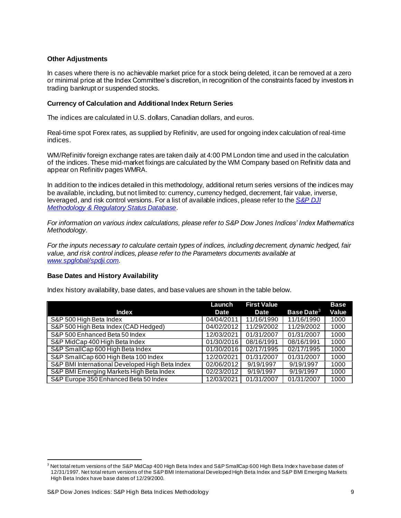### <span id="page-9-0"></span>**Other Adjustments**

In cases where there is no achievable market price for a stock being deleted, it can be removed at a zero or minimal price at the Index Committee's discretion, in recognition of the constraints faced by investors in trading bankrupt or suspended stocks.

#### <span id="page-9-1"></span>**Currency of Calculation and Additional Index Return Series**

The indices are calculated in U.S. dollars, Canadian dollars, and euros.

Real-time spot Forex rates, as supplied by Refinitiv, are used for ongoing index calculation of real-time indices.

WM/Refinitiv foreign exchange rates are taken daily at 4:00 PM London time and used in the calculation of the indices. These mid-market fixings are calculated by the WM Company based on Refinitiv data and appear on Refinitiv pages WMRA.

In addition to the indices detailed in this methodology, additional return series versions of the indices may be available, including, but not limited to: currency, currency hedged, decrement, fair value, inverse, leveraged, and risk control versions. For a list of available indices, please refer to the *[S&P DJI](https://www.spglobal.com/spdji/en/governance/methodology-and-regulatory-status/)  [Methodology & Regulatory Status Database](https://www.spglobal.com/spdji/en/governance/methodology-and-regulatory-status/)*.

*For information on various index calculations, please refer to S&P Dow Jones Indices' Index Mathematics Methodology.*

*For the inputs necessary to calculate certain types of indices, including decrement, dynamic hedged, fair value, and risk control indices, please refer to the Parameters documents available at [www.spglobal/spdji.com](http://www.spdji.com/)*.

#### <span id="page-9-2"></span>**Base Dates and History Availability**

Index history availability, base dates, and base values are shown in the table below.

|                                                 | Launch      | <b>First Value</b> |                        | <b>Base</b> |
|-------------------------------------------------|-------------|--------------------|------------------------|-------------|
| <b>Index</b>                                    | <b>Date</b> | <b>Date</b>        | Base Date <sup>3</sup> | Value       |
| S&P 500 High Beta Index                         | 04/04/2011  | 11/16/1990         | 11/16/1990             | 1000        |
| S&P 500 High Beta Index (CAD Hedged)            | 04/02/2012  | 11/29/2002         | 11/29/2002             | 1000        |
| S&P 500 Enhanced Beta 50 Index                  | 12/03/2021  | 01/31/2007         | 01/31/2007             | 1000        |
| S&P MidCap 400 High Beta Index                  | 01/30/2016  | 08/16/1991         | 08/16/1991             | 1000        |
| S&P SmallCap 600 High Beta Index                | 01/30/2016  | 02/17/1995         | 02/17/1995             | 1000        |
| S&P SmallCap 600 High Beta 100 Index            | 12/20/2021  | 01/31/2007         | 01/31/2007             | 1000        |
| S&P BMI International Developed High Beta Index | 02/06/2012  | 9/19/1997          | 9/19/1997              | 1000        |
| S&P BMI Emerging Markets High Beta Index        | 02/23/2012  | 9/19/1997          | 9/19/1997              | 1000        |
| S&P Europe 350 Enhanced Beta 50 Index           | 12/03/2021  | 01/31/2007         | 01/31/2007             | 1000        |

 $^3$  Net total return versions of the S&P MidCap 400 High Beta Index and S&P SmallCap 600 High Beta Index have base dates of 12/31/1997. Net total return versions of the S&P BMI International Developed High Beta Index and S&P BMI Emerging Markets High Beta Index have base dates of 12/29/2000.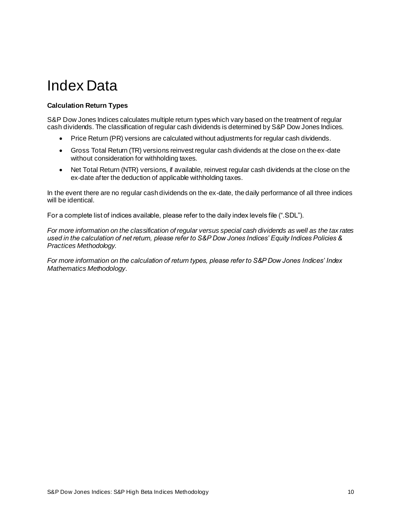# <span id="page-10-0"></span>Index Data

### <span id="page-10-1"></span>**Calculation Return Types**

S&P Dow Jones Indices calculates multiple return types which vary based on the treatment of regular cash dividends. The classification of regular cash dividends is determined by S&P Dow Jones Indices.

- Price Return (PR) versions are calculated without adjustments for regular cash dividends.
- Gross Total Return (TR) versions reinvest regular cash dividends at the close on the ex-date without consideration for withholding taxes.
- Net Total Return (NTR) versions, if available, reinvest regular cash dividends at the close on the ex-date after the deduction of applicable withholding taxes.

In the event there are no regular cash dividends on the ex-date, the daily performance of all three indices will be identical.

For a complete list of indices available, please refer to the daily index levels file (".SDL").

*For more information on the classification of regular versus special cash dividends as well as the tax rates used in the calculation of net return, please refer to S&P Dow Jones Indices' Equity Indices Policies & Practices Methodology.*

*For more information on the calculation of return types, please refer to S&P Dow Jones Indices' Index Mathematics Methodology*.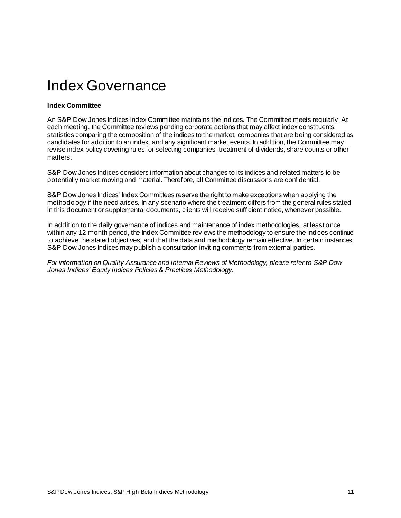# <span id="page-11-0"></span>Index Governance

### <span id="page-11-1"></span>**Index Committee**

An S&P Dow Jones Indices Index Committee maintains the indices. The Committee meets regularly. At each meeting, the Committee reviews pending corporate actions that may affect index constituents, statistics comparing the composition of the indices to the market, companies that are being considered as candidates for addition to an index, and any significant market events. In addition, the Committee may revise index policy covering rules for selecting companies, treatment of dividends, share counts or other matters.

S&P Dow Jones Indices considers information about changes to its indices and related matters to be potentially market moving and material. Therefore, all Committee discussions are confidential.

S&P Dow Jones Indices' Index Committees reserve the right to make exceptions when applying the methodology if the need arises. In any scenario where the treatment differs from the general rules stated in this document or supplemental documents, clients will receive sufficient notice, whenever possible.

In addition to the daily governance of indices and maintenance of index methodologies, at least once within any 12-month period, the Index Committee reviews the methodology to ensure the indices continue to achieve the stated objectives, and that the data and methodology remain effective. In certain instances, S&P Dow Jones Indices may publish a consultation inviting comments from external parties.

*For information on Quality Assurance and Internal Reviews of Methodology, please refer to S&P Dow Jones Indices' Equity Indices Policies & Practices Methodology*.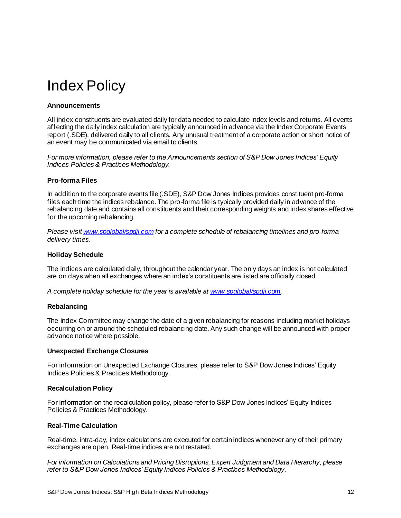# <span id="page-12-0"></span>Index Policy

### <span id="page-12-1"></span>**Announcements**

All index constituents are evaluated daily for data needed to calculate index levels and returns. All events affecting the daily index calculation are typically announced in advance via the Index Corporate Events report (.SDE), delivered daily to all clients. Any unusual treatment of a corporate action or short notice of an event may be communicated via email to clients.

*For more information, please refer to the Announcements section of S&P Dow Jones Indices' Equity Indices Policies & Practices Methodology.*

#### <span id="page-12-2"></span>**Pro-forma Files**

In addition to the corporate events file (.SDE), S&P Dow Jones Indices provides constituent pro-forma files each time the indices rebalance. The pro-forma file is typically provided daily in advance of the rebalancing date and contains all constituents and their corresponding weights and index shares effective for the upcoming rebalancing.

*Please visi[t www.spglobal/spdji.com](http://www.spdji.com/) for a complete schedule of rebalancing timelines and pro-forma delivery times.*

#### <span id="page-12-3"></span>**Holiday Schedule**

The indices are calculated daily, throughout the calendar year. The only days an index is not calculated are on days when all exchanges where an index's constituents are listed are officially closed.

<span id="page-12-4"></span>*A complete holiday schedule for the year is available a[t www.spglobal/spdji.com](http://www.spdji.com/).*

#### **Rebalancing**

The Index Committee may change the date of a given rebalancing for reasons including market holidays occurring on or around the scheduled rebalancing date. Any such change will be announced with proper advance notice where possible.

#### <span id="page-12-5"></span>**Unexpected Exchange Closures**

For information on Unexpected Exchange Closures, please refer to S&P Dow Jones Indices' Equity Indices Policies & Practices Methodology.

#### <span id="page-12-6"></span>**Recalculation Policy**

For information on the recalculation policy, please refer to S&P Dow Jones Indices' Equity Indices Policies & Practices Methodology.

#### <span id="page-12-7"></span>**Real-Time Calculation**

Real-time, intra-day, index calculations are executed for certain indices whenever any of their primary exchanges are open. Real-time indices are not restated.

*For information on Calculations and Pricing Disruptions, Expert Judgment and Data Hierarchy, please refer to S&P Dow Jones Indices' Equity Indices Policies & Practices Methodology*.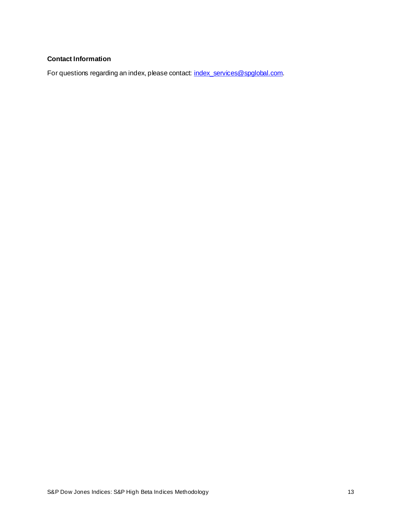### <span id="page-13-0"></span>**Contact Information**

For questions regarding an index, please contact[: index\\_services@spglobal.com](mailto:index_services@spglobal.com).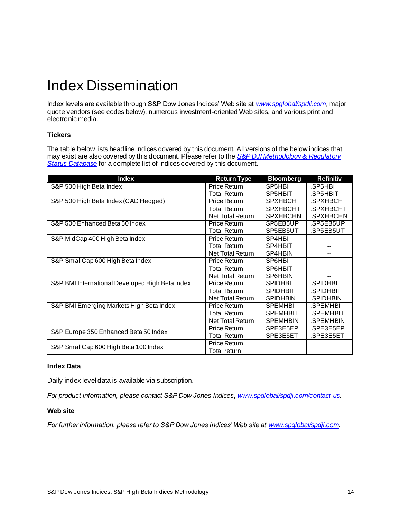# <span id="page-14-0"></span>Index Dissemination

Index levels are available through S&P Dow Jones Indices' Web site at *[www.spglobal/spdji.com](http://www.spdji.com/),* major quote vendors (see codes below), numerous investment-oriented Web sites, and various print and electronic media.

### <span id="page-14-1"></span>**Tickers**

The table below lists headline indices covered by this document. All versions of the below indices that may exist are also covered by this document. Please refer to the *[S&P DJI Methodology & Regulatory](https://www.spglobal.com/spdji/en/governance/methodology-and-regulatory-status/)  [Status Database](https://www.spglobal.com/spdji/en/governance/methodology-and-regulatory-status/)* for a complete list of indices covered by this document.

| <b>Index</b>                                    | <b>Return Type</b>      | <b>Bloomberg</b> | <b>Refinitiv</b> |
|-------------------------------------------------|-------------------------|------------------|------------------|
| S&P 500 High Beta Index                         | Price Return            | SP5HBI           | .SP5HBI          |
|                                                 | <b>Total Return</b>     | SP5HBIT          | .SP5HBIT         |
| S&P 500 High Beta Index (CAD Hedged)            | Price Return            | <b>SPXHBCH</b>   | .SPXHBCH         |
|                                                 | <b>Total Return</b>     | <b>SPXHBCHT</b>  | .SPXHBCHT        |
|                                                 | <b>Net Total Return</b> | <b>SPXHBCHN</b>  | .SPXHBCHN        |
| S&P 500 Enhanced Beta 50 Index                  | Price Return            | SP5EB5UP         | .SP5EB5UP        |
|                                                 | <b>Total Return</b>     | SP5EB5UT         | .SP5EB5UT        |
| S&P MidCap 400 High Beta Index                  | Price Return            | SP4HBI           |                  |
|                                                 | <b>Total Return</b>     | SP4HBIT          |                  |
|                                                 | <b>Net Total Return</b> | SP4HBIN          |                  |
| S&P SmallCap 600 High Beta Index                | Price Return            | SP6HBI           | --               |
|                                                 | <b>Total Return</b>     | SP6HBIT          |                  |
|                                                 | <b>Net Total Return</b> | SP6HBIN          |                  |
| S&P BMI International Developed High Beta Index | <b>Price Return</b>     | <b>SPIDHBI</b>   | SPIDHBI.         |
|                                                 | <b>Total Return</b>     | <b>SPIDHBIT</b>  | .SPIDHBIT        |
|                                                 | <b>Net Total Return</b> | <b>SPIDHBIN</b>  | .SPIDHBIN        |
| S&P BMI Emerging Markets High Beta Index        | Price Return            | <b>SPEMHBI</b>   | .SPEMHBI         |
|                                                 | <b>Total Return</b>     | <b>SPEMHBIT</b>  | .SPEMHBIT        |
|                                                 | <b>Net Total Return</b> | <b>SPEMHBIN</b>  | .SPEMHBIN        |
| S&P Europe 350 Enhanced Beta 50 Index           | Price Return            | SPE3E5EP         | SPE3E5EP         |
|                                                 | <b>Total Return</b>     | SPE3E5ET         | .SPE3E5ET        |
| S&P SmallCap 600 High Beta 100 Index            | <b>Price Return</b>     |                  |                  |
|                                                 | Total return            |                  |                  |

### <span id="page-14-2"></span>**Index Data**

Daily index level data is available via subscription.

<span id="page-14-3"></span>*For product information, please contact S&P Dow Jones Indices[, www.spglobal/spdji.com/contact-us](http://www.spdji.com/contact-us).* 

#### **Web site**

*For further information, please refer to S&P Dow Jones Indices' Web site a[t www.spglobal/spdji.com](http://www.spdji.com/).*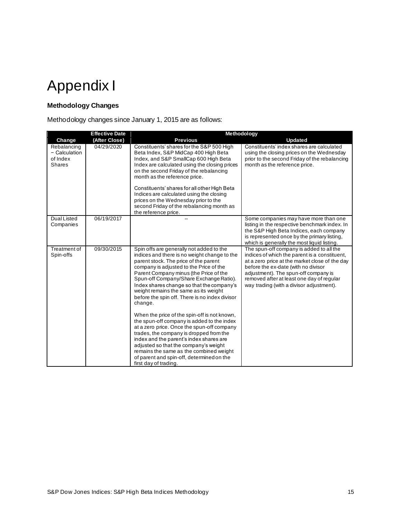# <span id="page-15-0"></span>Appendix I

### <span id="page-15-1"></span>**Methodology Changes**

Methodology changes since January 1, 2015 are as follows:

|                                                           | <b>Effective Date</b> | Methodology                                                                                                                                                                                                                                                                                                                                                                                                                                                                                                                                                                                                                                                                                                                                                                                                      |                                                                                                                                                                                                                                                                                                                     |
|-----------------------------------------------------------|-----------------------|------------------------------------------------------------------------------------------------------------------------------------------------------------------------------------------------------------------------------------------------------------------------------------------------------------------------------------------------------------------------------------------------------------------------------------------------------------------------------------------------------------------------------------------------------------------------------------------------------------------------------------------------------------------------------------------------------------------------------------------------------------------------------------------------------------------|---------------------------------------------------------------------------------------------------------------------------------------------------------------------------------------------------------------------------------------------------------------------------------------------------------------------|
| Change                                                    | (After Close)         | <b>Previous</b>                                                                                                                                                                                                                                                                                                                                                                                                                                                                                                                                                                                                                                                                                                                                                                                                  | <b>Updated</b>                                                                                                                                                                                                                                                                                                      |
| Rebalancing<br>- Calculation<br>of Index<br><b>Shares</b> | 04/29/2020            | Constituents' shares for the S&P 500 High<br>Beta Index, S&P MidCap 400 High Beta<br>Index, and S&P SmallCap 600 High Beta<br>Index are calculated using the closing prices<br>on the second Friday of the rebalancing<br>month as the reference price.<br>Constituents' shares for all other High Beta<br>Indices are calculated using the closing<br>prices on the Wednesday prior to the                                                                                                                                                                                                                                                                                                                                                                                                                      | Constituents' index shares are calculated<br>using the closing prices on the Wednesday<br>prior to the second Friday of the rebalancing<br>month as the reference price.                                                                                                                                            |
|                                                           |                       | second Friday of the rebalancing month as                                                                                                                                                                                                                                                                                                                                                                                                                                                                                                                                                                                                                                                                                                                                                                        |                                                                                                                                                                                                                                                                                                                     |
| Dual Listed<br>Companies                                  | 06/19/2017            | the reference price.                                                                                                                                                                                                                                                                                                                                                                                                                                                                                                                                                                                                                                                                                                                                                                                             | Some companies may have more than one<br>listing in the respective benchmark index. In<br>the S&P High Beta Indices, each company<br>is represented once by the primary listing,<br>which is generally the most liquid listing.                                                                                     |
| Treatment of<br>Spin-offs                                 | 09/30/2015            | Spin offs are generally not added to the<br>indices and there is no weight change to the<br>parent stock. The price of the parent<br>company is adjusted to the Price of the<br>Parent Company minus (the Price of the<br>Spun-off Company/Share Exchange Ratio).<br>Index shares change so that the company's<br>weight remains the same as its weight<br>before the spin off. There is no index divisor<br>change.<br>When the price of the spin-off is not known,<br>the spun-off company is added to the index<br>at a zero price. Once the spun-off company<br>trades, the company is dropped from the<br>index and the parent's index shares are<br>adjusted so that the company's weight<br>remains the same as the combined weight<br>of parent and spin-off, determined on the<br>first day of trading. | The spun-off company is added to all the<br>indices of which the parent is a constituent,<br>at a zero price at the market close of the day<br>before the ex-date (with no divisor<br>adjustment). The spun-off company is<br>removed after at least one day of regular<br>way trading (with a divisor adjustment). |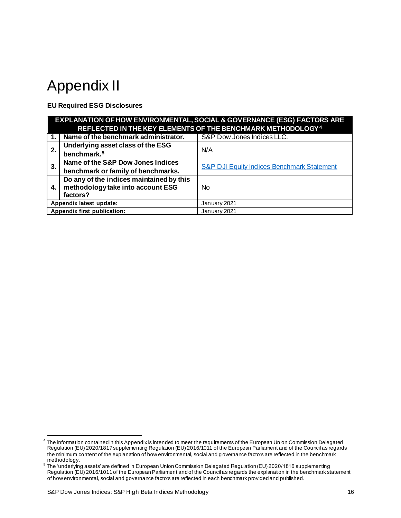# <span id="page-16-0"></span>Appendix II

### <span id="page-16-1"></span>**EU Required ESG Disclosures**

| <b>EXPLANATION OF HOW ENVIRONMENTAL, SOCIAL &amp; GOVERNANCE (ESG) FACTORS ARE</b> |                                                                         |                                                       |  |  |  |
|------------------------------------------------------------------------------------|-------------------------------------------------------------------------|-------------------------------------------------------|--|--|--|
|                                                                                    | REFLECTED IN THE KEY ELEMENTS OF THE BENCHMARK METHODOLOGY <sup>4</sup> |                                                       |  |  |  |
| 1.                                                                                 | Name of the benchmark administrator.                                    | S&P Dow Jones Indices LLC.                            |  |  |  |
| 2.                                                                                 | Underlying asset class of the ESG                                       | N/A                                                   |  |  |  |
|                                                                                    | benchmark. <sup>5</sup>                                                 |                                                       |  |  |  |
| 3.                                                                                 | Name of the S&P Dow Jones Indices                                       | <b>S&amp;P DJI Equity Indices Benchmark Statement</b> |  |  |  |
|                                                                                    | benchmark or family of benchmarks.                                      |                                                       |  |  |  |
|                                                                                    | Do any of the indices maintained by this                                |                                                       |  |  |  |
| 4.                                                                                 | methodology take into account ESG                                       | No                                                    |  |  |  |
|                                                                                    | factors?                                                                |                                                       |  |  |  |
| Appendix latest update:                                                            |                                                                         | January 2021                                          |  |  |  |
| Appendix first publication:                                                        |                                                                         | January 2021                                          |  |  |  |

<sup>&</sup>lt;sup>4</sup> The information contained in this Appendix is intended to meet the requirements of the European Union Commission Delegated Regulation (EU) 2020/1817 supplementing Regulation (EU) 2016/1011 of the European Parliament and of the Council as regards the minimum content of the explanation of how environmental, social and governance factors are reflected in the benchmark methodology. 5

The 'underlying assets' are defined in European Union Commission Delegated Regulation (EU) 2020/1816 supplementing Regulation (EU) 2016/1011 of the European Parliament and of the Council as regards the explanation in the benchmark statement of how environmental, social and governance factors are reflected in each benchmark provided and published.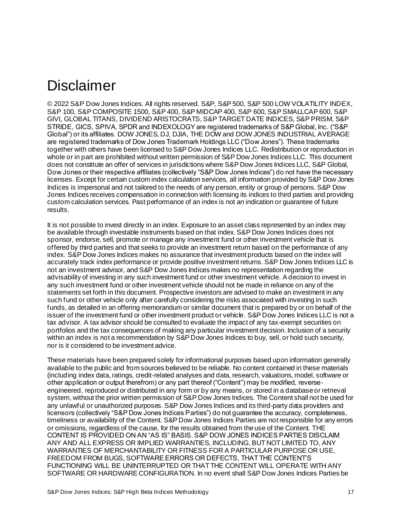### <span id="page-17-0"></span>Disclaimer

© 2022 S&P Dow Jones Indices. All rights reserved. S&P, S&P 500, S&P 500 LOW VOLATILITY INDEX, S&P 100, S&P COMPOSITE 1500, S&P 400, S&P MIDCAP 400, S&P 600, S&P SMALLCAP 600, S&P GIVI, GLOBAL TITANS, DIVIDEND ARISTOCRATS, S&P TARGET DATE INDICES, S&P PRISM, S&P STRIDE, GICS, SPIVA, SPDR and INDEXOLOGY are registered trademarks of S&P Global, Inc. ("S&P Global") or its affiliates. DOW JONES, DJ, DJIA, THE DOW and DOW JONES INDUSTRIAL AVERAGE are registered trademarks of Dow Jones Trademark Holdings LLC ("Dow Jones"). These trademarks together with others have been licensed to S&P Dow Jones Indices LLC. Redistribution or reproduction in whole or in part are prohibited without written permission of S&P Dow Jones Indices LLC. This document does not constitute an offer of services in jurisdictions where S&P Dow Jones Indices LLC, S&P Global, Dow Jones or their respective affiliates (collectively "S&P Dow Jones Indices") do not have the necessary licenses. Except for certain custom index calculation services, all information provided by S&P Dow Jones Indices is impersonal and not tailored to the needs of any person, entity or group of persons. S&P Dow Jones Indices receives compensation in connection with licensing its indices to third parties and providing custom calculation services. Past performance of an index is not an indication or guarantee of future results.

It is not possible to invest directly in an index. Exposure to an asset class represented by an index may be available through investable instruments based on that index. S&P Dow Jones Indices does not sponsor, endorse, sell, promote or manage any investment fund or other investment vehicle that is offered by third parties and that seeks to provide an investment return based on the performance of any index. S&P Dow Jones Indices makes no assurance that investment products based on the index will accurately track index performance or provide positive investment returns. S&P Dow Jones Indices LLC is not an investment advisor, and S&P Dow Jones Indices makes no representation regarding the advisability of investing in any such investment fund or other investment vehicle. A decision to invest in any such investment fund or other investment vehicle should not be made in reliance on any of the statements set forth in this document. Prospective investors are advised to make an investment in any such fund or other vehicle only after carefully considering the risks associated with investing in such funds, as detailed in an offering memorandum or similar document that is prepared by or on behalf of the issuer of the investment fund or other investment product or vehicle. S&P Dow Jones Indices LLC is not a tax advisor. A tax advisor should be consulted to evaluate the impact of any tax-exempt securities on portfolios and the tax consequences of making any particular investment decision. Inclusion of a security within an index is not a recommendation by S&P Dow Jones Indices to buy, sell, or hold such security, nor is it considered to be investment advice.

These materials have been prepared solely for informational purposes based upon information generally available to the public and from sources believed to be reliable. No content contained in these materials (including index data, ratings, credit-related analyses and data, research, valuations, model, software or other application or output therefrom) or any part thereof ("Content") may be modified, reverseengineered, reproduced or distributed in any form or by any means, or stored in a database or retrieval system, without the prior written permission of S&P Dow Jones Indices. The Content shall not be used for any unlawful or unauthorized purposes. S&P Dow Jones Indices and its third-party data providers and licensors (collectively "S&P Dow Jones Indices Parties") do not guarantee the accuracy, completeness, timeliness or availability of the Content. S&P Dow Jones Indices Parties are not responsible for any errors or omissions, regardless of the cause, for the results obtained from the use of the Content. THE CONTENT IS PROVIDED ON AN "AS IS" BASIS. S&P DOW JONES INDICES PARTIES DISCLAIM ANY AND ALL EXPRESS OR IMPLIED WARRANTIES, INCLUDING, BUT NOT LIMITED TO, ANY WARRANTIES OF MERCHANTABILITY OR FITNESS FOR A PARTICULAR PURPOSE OR USE, FREEDOM FROM BUGS, SOFTWARE ERRORS OR DEFECTS, THAT THE CONTENT'S FUNCTIONING WILL BE UNINTERRUPTED OR THAT THE CONTENT WILL OPERATE WITH ANY SOFTWARE OR HARDWARE CONFIGURATION. In no event shall S&P Dow Jones Indices Parties be